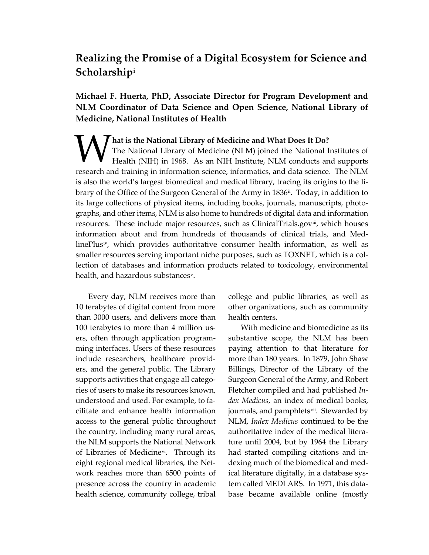# **Realizing the Promise of a Digital Ecosystem for Science and Scholarship[i](#page-9-0)**

 **NLM Coordinator of Data Science and Open Science, National Library of Michael F. Huerta, PhD, Associate Director for Program Development and Medicine, National Institutes of Health** 

 is also the world's largest biomedical and medical library, tracing its origins to the li- graphs, and other items, NLM is also home to hundreds of digital data and information information about and from hundreds of thousands of clinical trials, and Med-**WHATER IS THE NATIONAL EXERCISE IS NOTE AND THE NATIONAL EXPANDING THE NATIONAL EXPANDING THE NATIONAL PROPERTY OF MEDICINE AND MANY CONDUCTS AND MANY CONDUCTS AND MANY CONDUCTS AND MANY CONDUCTS ARE ALLOWS AND MANY CONDU** The National Library of Medicine (NLM) joined the National Institutes of Health (NIH) in 1968. As an NIH Institute, NLM conducts and supports research and training in information science, informatics, and data science. The NLM brary of the Office of the Surgeon General of the Army in 1836<sup>ii</sup>. Today, in addition to its large collections of physical items, including books, journals, manuscripts, photoresources. These include major resources, such as ClinicalTrials.gov[iii,](#page-9-0) which houses linePlus[iv](#page-9-0), which provides authoritative consumer health information, as well as smaller resources serving important niche purposes, such as TOXNET, which is a collection of databases and information products related to toxicology, environmental health, and hazardous substances[v.](#page-9-0)

 ming interfaces. Users of these resources cilitate and enhance health information the country, including many rural areas, Every day, NLM receives more than 10 terabytes of digital content from more than 3000 users, and delivers more than 100 terabytes to more than 4 million users, often through application programinclude researchers, healthcare providers, and the general public. The Library supports activities that engage all categories of users to make its resources known, understood and used. For example, to faaccess to the general public throughout the NLM supports the National Network of Libraries of Medicine[vi](#page-9-0). Through its eight regional medical libraries, the Network reaches more than 6500 points of presence across the country in academic health science, community college, tribal

 college and public libraries, as well as other organizations, such as community health centers.

 substantive scope, the NLM has been paying attention to that literature for *dex Medicus*, an index of medical books, journals, and pamphlets<sup>vii</sup>. Stewarded by With medicine and biomedicine as its more than 180 years. In 1879, John Shaw Billings, Director of the Library of the Surgeon General of the Army, and Robert Fletcher compiled and had published *In-*NLM, *Index Medicus* continued to be the authoritative index of the medical literature until 2004, but by 1964 the Library had started compiling citations and indexing much of the biomedical and medical literature digitally, in a database system called MEDLARS. In 1971, this database became available online (mostly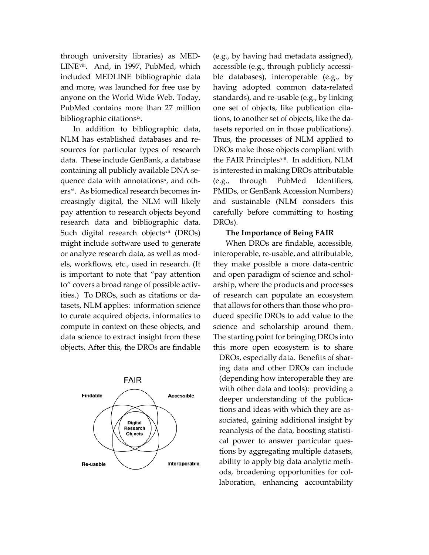anyone on the World Wide Web. Today, through university libraries) as MEDLINE<sup>[viii](#page-9-0)</sup>. And, in 1997, PubMed, which included MEDLINE bibliographic data and more, was launched for free use by PubMed contains more than 27 million bibliographic citations<sup>ix</sup>.

 sources for particular types of research research data and bibliographic data. to" covers a broad range of possible activ- compute in context on these objects, and In addition to bibliographic data, NLM has established databases and redata. These include GenBank, a database containing all publicly available DNA sequence data with annotations<sup>[x](#page-9-0)</sup>, and others<sup>xi</sup>. As biomedical research becomes increasingly digital, the NLM will likely pay attention to research objects beyond Such digital research objects[xii](#page-9-0) (DROs) might include software used to generate or analyze research data, as well as models, workflows, etc., used in research. (It is important to note that "pay attention ities.) To DROs, such as citations or datasets, NLM applies: information science to curate acquired objects, informatics to data science to extract insight from these objects. After this, the DROs are findable



 accessible (e.g., through publicly accessi- ble databases), interoperable (e.g., by tions, to another set of objects, like the da- tasets reported on in those publications). is interested in making DROs attributable (e.g., by having had metadata assigned), having adopted common data-related standards), and re-usable (e.g., by linking one set of objects, like publication cita-Thus, the processes of NLM applied to DROs make those objects compliant with the FAIR Principles<sup>xiii</sup>. In addition, NLM (e.g., through PubMed Identifiers, PMIDs, or GenBank Accession Numbers) and sustainable (NLM considers this carefully before committing to hosting DROs).

#### **The Importance of Being FAIR**

 The starting point for bringing DROs into When DROs are findable, accessible, interoperable, re-usable, and attributable, they make possible a more data-centric and open paradigm of science and scholarship, where the products and processes of research can populate an ecosystem that allows for others than those who produced specific DROs to add value to the science and scholarship around them. this more open ecosystem is to share

 (depending how interoperable they are sociated, gaining additional insight by tions by aggregating multiple datasets, DROs, especially data. Benefits of sharing data and other DROs can include with other data and tools): providing a deeper understanding of the publications and ideas with which they are asreanalysis of the data, boosting statistical power to answer particular quesability to apply big data analytic methods, broadening opportunities for collaboration, enhancing accountability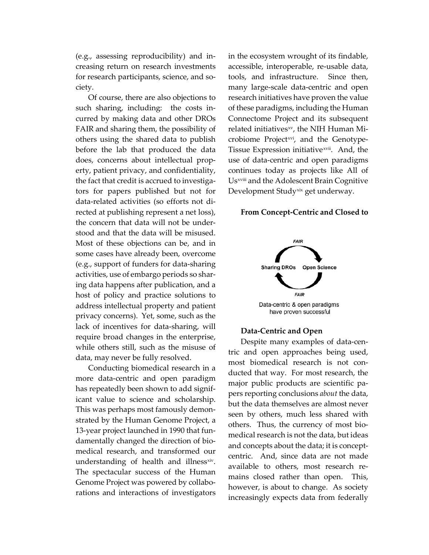creasing return on research investments (e.g., assessing reproducibility) and infor research participants, science, and society.

 such sharing, including: the costs in- before the lab that produced the data does, concerns about intellectual propstood and that the data will be misused. privacy concerns). Yet, some, such as the require broad changes in the enterprise, Of course, there are also objections to curred by making data and other DROs FAIR and sharing them, the possibility of others using the shared data to publish erty, patient privacy, and confidentiality, the fact that credit is accrued to investigators for papers published but not for data-related activities (so efforts not directed at publishing represent a net loss), the concern that data will not be under-Most of these objections can be, and in some cases have already been, overcome (e.g., support of funders for data-sharing activities, use of embargo periods so sharing data happens after publication, and a host of policy and practice solutions to address intellectual property and patient lack of incentives for data-sharing, will while others still, such as the misuse of data, may never be fully resolved.

icant value to science and scholarship. Genome Project was powered by collabo-Conducting biomedical research in a more data-centric and open paradigm has repeatedly been shown to add signif-This was perhaps most famously demonstrated by the Human Genome Project, a 13-year project launched in 1990 that fundamentally changed the direction of biomedical research, and transformed our understanding of health and illness<sup>xiv</sup>. The spectacular success of the Human rations and interactions of investigators

 in the ecosystem wrought of its findable, many large-scale data-centric and open research initiatives have proven the value continues today as projects like All of accessible, interoperable, re-usable data, tools, and infrastructure. Since then, of these paradigms, including the Human Connectome Project and its subsequent related initiatives[xv](#page-9-0), the NIH Human Microbiome Project<sup>xvi</sup>, and the GenotypeTissue Expression initiative[xvii](#page-9-0). And, the use of data-centric and open paradigms U[s xviii](#page-9-0) and the Adolescent Brain Cognitive Development Study[xix](#page-9-0) get underway.

#### **From Concept-Centric and Closed to**



#### **Data-Centric and Open**

 and concepts about the data; it is concept- centric. And, since data are not made Despite many examples of data-centric and open approaches being used, most biomedical research is not conducted that way. For most research, the major public products are scientific papers reporting conclusions *about* the data, but the data themselves are almost never seen by others, much less shared with others. Thus, the currency of most biomedical research is not the data, but ideas available to others, most research remains closed rather than open. This, however, is about to change. As society increasingly expects data from federally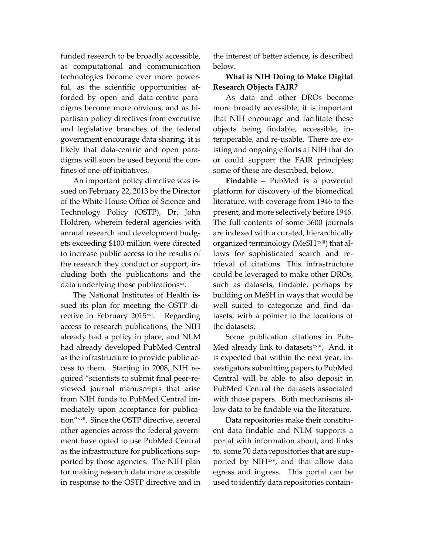funded research to be broadly accessible, technologies become ever more power- partisan policy directives from executive as computational and communication ful, as the scientific opportunities afforded by open and data-centric paradigms become more obvious, and as biand legislative branches of the federal government encourage data sharing, it is likely that data-centric and open paradigms will soon be used beyond the confines of one-off initiatives.

 Technology Policy (OSTP), Dr. John annual research and development budg- the research they conduct or support, in- cluding both the publications and the An important policy directive was issued on February 22, 2013 by the Director of the White House Office of Science and Holdren, wherein federal agencies with ets exceeding \$100 million were directed to increase public access to the results of data underlying those publications $x^x$ .

 ment have opted to use PubMed Central ported by those agencies. The NIH plan in response to the OSTP directive and in The National Institutes of Health issued its plan for meeting the OSTP directive in February 2015 $x$ <sup>xi</sup>. Regarding access to research publications, the NIH already had a policy in place, and NLM had already developed PubMed Central as the infrastructure to provide public access to them. Starting in 2008, NIH required "scientists to submit final peer-reviewed journal manuscripts that arise from NIH funds to PubMed Central immediately upon acceptance for publication"[xxii.](#page-9-0) Since the OSTP directive, several other agencies across the federal governas the infrastructure for publications supfor making research data more accessible

the interest of better science, is described below.

### **What is NIH Doing to Make Digital Research Objects FAIR?**

 teroperable, and re-usable. There are ex-As data and other DROs become more broadly accessible, it is important that NIH encourage and facilitate these objects being findable, accessible, inisting and ongoing efforts at NIH that do or could support the FAIR principles; some of these are described, below.

present, and more selectively before 1946. are indexed with a curated, hierarchically could be leveraged to make other DROs, building on MeSH in ways that would be **Findable –** PubMed is a powerful platform for discovery of the biomedical literature, with coverage from 1946 to the The full contents of some 5600 journals organized terminology (MeSH[xxiii](#page-9-0)) that allows for sophisticated search and retrieval of citations. This infrastructure such as datasets, findable, perhaps by well suited to categorize and find datasets, with a pointer to the locations of the datasets.

 is expected that within the next year, in- vestigators submitting papers to PubMed Central will be able to also deposit in low data to be findable via the literature. Some publication citations in Pub-Med already link to datasets<sup>xxiv</sup>. And, it PubMed Central the datasets associated with those papers. Both mechanisms al-

 egress and ingress. This portal can be Data repositories make their constituent data findable and NLM supports a portal with information about, and links to, some 70 data repositories that are supported by NIH<sup>[xxv](#page-9-0)</sup>, and that allow data used to identify data repositories contain-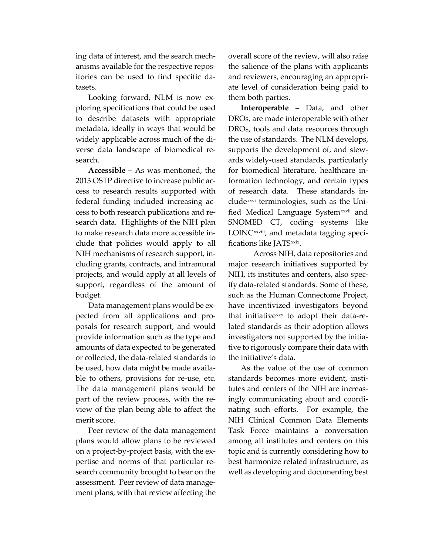anisms available for the respective reposing data of interest, and the search mechitories can be used to find specific datasets.

Looking forward, NLM is now exploring specifications that could be used to describe datasets with appropriate metadata, ideally in ways that would be widely applicable across much of the diverse data landscape of biomedical research.

 2013 OSTP directive to increase public ac- search data. Highlights of the NIH plan clude that policies would apply to all projects, and would apply at all levels of budget. budget. Data management plans would be ex-**Accessible –** As was mentioned, the cess to research results supported with federal funding included increasing access to both research publications and reto make research data more accessible in-NIH mechanisms of research support, including grants, contracts, and intramural support, regardless of the amount of

 posals for research support, and would provide information such as the type and amounts of data expected to be generated The data management plans would be pected from all applications and proor collected, the data-related standards to be used, how data might be made available to others, provisions for re-use, etc. part of the review process, with the review of the plan being able to affect the merit score.

 assessment. Peer review of data manage-Peer review of the data management plans would allow plans to be reviewed on a project-by-project basis, with the expertise and norms of that particular research community brought to bear on the ment plans, with that review affecting the

 overall score of the review, will also raise the salience of the plans with applicants and reviewers, encouraging an appropriate level of consideration being paid to them both parties.

 the use of standards. The NLM develops, ards widely-used standards, particularly for biomedical literature, healthcare in- of research data. These standards infied Medical Language System<sup>xxvii</sup> and SNOMED CT, coding systems like **Interoperable –** Data, and other DROs, are made interoperable with other DROs, tools and data resources through supports the development of, and stewformation technology, and certain types clude<sup>xxvi</sup> terminologies, such as the Uni-LOINC<sup>xxviii</sup>, and metadata tagging specifications like JATS<sup>xxix</sup>.

 major research initiatives supported by such as the Human Connectome Project, Across NIH, data repositories and NIH, its institutes and centers, also specify data-related standards. Some of these, have incentivized investigators beyond that initiative[xxx](#page-9-0) to adopt their data-related standards as their adoption allows investigators not supported by the initiative to rigorously compare their data with the initiative's data.

 nating such efforts. For example, the As the value of the use of common standards becomes more evident, institutes and centers of the NIH are increasingly communicating about and coordi-NIH Clinical Common Data Elements Task Force maintains a conversation among all institutes and centers on this topic and is currently considering how to best harmonize related infrastructure, as well as developing and documenting best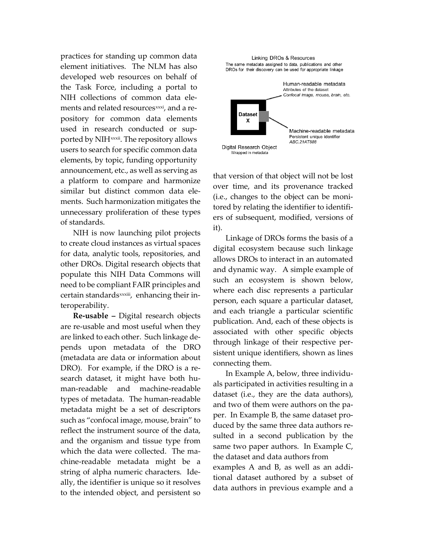developed web resources on behalf of the Task Force, including a portal to practices for standing up common data element initiatives. The NLM has also NIH collections of common data elements and related resources<sup>xxxi</sup>, and a repository for common data elements used in research conducted or supported by NIH<sup>xxxii</sup>. The repository allows users to search for specific common data elements, by topic, funding opportunity announcement, etc., as well as serving as a platform to compare and harmonize similar but distinct common data elements. Such harmonization mitigates the unnecessary proliferation of these types of standards.

 other DROs. Digital research objects that need to be compliant FAIR principles and certain standards<sup>[xxxiii](#page-9-0)</sup>, enhancing their in-NIH is now launching pilot projects to create cloud instances as virtual spaces for data, analytic tools, repositories, and populate this NIH Data Commons will teroperability.

 are linked to each other. Such linkage de- DRO). For example, if the DRO is a re- reflect the instrument source of the data, and the organism and tissue type from chine-readable metadata might be a **Re-usable –** Digital research objects are re-usable and most useful when they pends upon metadata of the DRO (metadata are data or information about search dataset, it might have both human-readable and machine-readable types of metadata. The human-readable metadata might be a set of descriptors such as "confocal image, mouse, brain" to which the data were collected. The mastring of alpha numeric characters. Ideally, the identifier is unique so it resolves to the intended object, and persistent so



 over time, and its provenance tracked that version of that object will not be lost (i.e., changes to the object can be monitored by relating the identifier to identifiers of subsequent, modified, versions of it).

 Linkage of DROs forms the basis of a and dynamic way. A simple example of and each triangle a particular scientific publication. And, each of these objects is sistent unique identifiers, shown as lines connecting them. digital ecosystem because such linkage allows DROs to interact in an automated such an ecosystem is shown below, where each disc represents a particular person, each square a particular dataset, associated with other specific objects through linkage of their respective per-

 als participated in activities resulting in a sulted in a second publication by the data authors in previous example and a In Example A, below, three individudataset (i.e., they are the data authors), and two of them were authors on the paper. In Example B, the same dataset produced by the same three data authors resame two paper authors. In Example C, the dataset and data authors from examples A and B, as well as an additional dataset authored by a subset of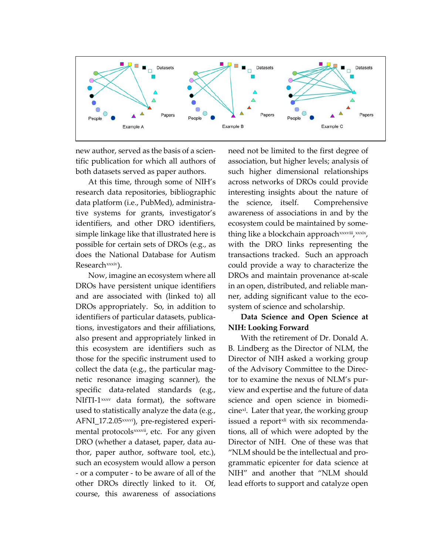

 new author, served as the basis of a scien- tific publication for which all authors of both datasets served as paper authors.

 simple linkage like that illustrated here is possible for certain sets of DROs (e.g., as does the National Database for Autism At this time, through some of NIH's research data repositories, bibliographic data platform (i.e., PubMed), administrative systems for grants, investigator's identifiers, and other DRO identifiers, Research<sup>xxxiv</sup>).

 Now, imagine an ecosystem where all DROs have persistent unique identifiers thor, paper author, software tool, etc.), NIfTI- $1$ <sup>[xxxv](#page-9-0)</sup>data format), the software other DROs directly linked to it. Of, and are associated with (linked to) all DROs appropriately. So, in addition to identifiers of particular datasets, publications, investigators and their affiliations, also present and appropriately linked in this ecosystem are identifiers such as those for the specific instrument used to collect the data (e.g., the particular magnetic resonance imaging scanner), the specific data-related standards (e.g., used to statistically analyze the data (e.g., AFNI\_17.2.05<sup>xxxvi</sup>), pre-registered experimental protocols<sup>xxxvii</sup>, etc. For any given DRO (whether a dataset, paper, data ausuch an ecosystem would allow a person - or a computer - to be aware of all of the course, this awareness of associations

 association, but higher levels; analysis of interesting insights about the nature of transactions tracked. Such an approach could provide a way to characterize the ner, adding significant value to the econeed not be limited to the first degree of such higher dimensional relationships across networks of DROs could provide the science, itself. Comprehensive awareness of associations in and by the ecosystem could be maintained by something like a blockchain approach [xxxviii](#page-9-0),xxxix, with the DRO links representing the DROs and maintain provenance at-scale in an open, distributed, and reliable mansystem of science and scholarship.

## **Data Science and Open Science at NIH: Looking Forward**

 grammatic epicenter for data science at With the retirement of Dr. Donald A. B. Lindberg as the Director of NLM, the Director of NIH asked a working group of the Advisory Committee to the Director to examine the nexus of NLM's purview and expertise and the future of data science and open science in biomedicine<sup>x1</sup>. Later that year, the working group issued a report<sup>xli</sup> with six recommendations, all of which were adopted by the Director of NIH. One of these was that "NLM should be the intellectual and pro-NIH" and another that "NLM should lead efforts to support and catalyze open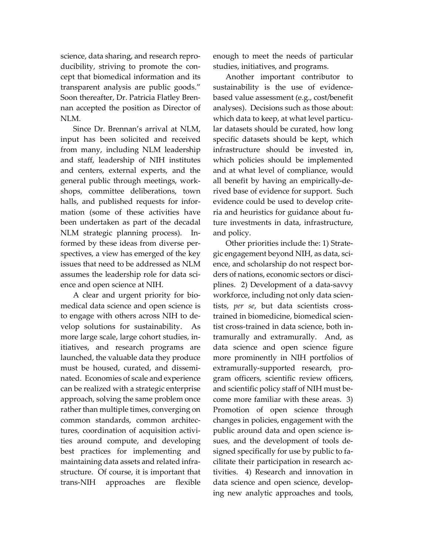ducibility, striving to promote the con- transparent analysis are public goods." science, data sharing, and research reprocept that biomedical information and its Soon thereafter, Dr. Patricia Flatley Brennan accepted the position as Director of NLM.

 and staff, leadership of NIH institutes and centers, external experts, and the spectives, a view has emerged of the key Since Dr. Brennan's arrival at NLM, input has been solicited and received from many, including NLM leadership general public through meetings, workshops, committee deliberations, town halls, and published requests for information (some of these activities have been undertaken as part of the decadal NLM strategic planning process). Informed by these ideas from diverse perissues that need to be addressed as NLM assumes the leadership role for data science and open science at NIH.

 to engage with others across NIH to de- nated. Economies of scale and experience can be realized with a strategic enterprise approach, solving the same problem once maintaining data assets and related infraare A clear and urgent priority for biomedical data science and open science is velop solutions for sustainability. As more large scale, large cohort studies, initiatives, and research programs are launched, the valuable data they produce must be housed, curated, and dissemirather than multiple times, converging on common standards, common architectures, coordination of acquisition activities around compute, and developing best practices for implementing and structure. Of course, it is important that trans-NIH approaches are flexible

enough to meet the needs of particular studies, initiatives, and programs.

 lar datasets should be curated, how long all benefit by having an empirically-de-Another important contributor to sustainability is the use of evidencebased value assessment (e.g., cost/benefit analyses). Decisions such as those about: which data to keep, at what level particuspecific datasets should be kept, which infrastructure should be invested in, which policies should be implemented and at what level of compliance, would rived base of evidence for support. Such evidence could be used to develop criteria and heuristics for guidance about future investments in data, infrastructure, and policy.

 more prominently in NIH portfolios of and scientific policy staff of NIH must be- tivities. 4) Research and innovation in Other priorities include the: 1) Strategic engagement beyond NIH, as data, science, and scholarship do not respect borders of nations, economic sectors or disciplines. 2) Development of a data-savvy workforce, including not only data scientists, *per se*, but data scientists crosstrained in biomedicine, biomedical scientist cross-trained in data science, both intramurally and extramurally. And, as data science and open science figure extramurally-supported research, program officers, scientific review officers, come more familiar with these areas. 3) Promotion of open science through changes in policies, engagement with the public around data and open science issues, and the development of tools designed specifically for use by public to facilitate their participation in research acdata science and open science, developing new analytic approaches and tools,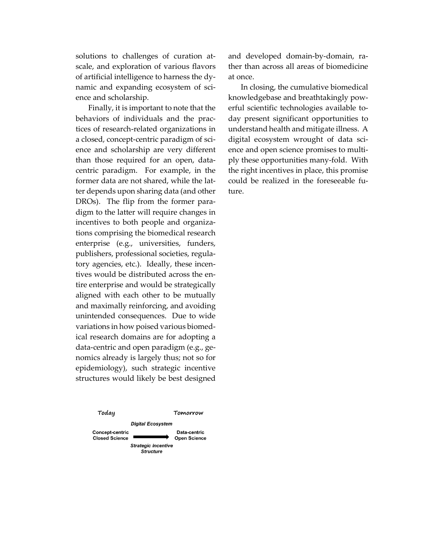solutions to challenges of curation atscale, and exploration of various flavors of artificial intelligence to harness the dynamic and expanding ecosystem of science and scholarship.

 ter depends upon sharing data (and other digm to the latter will require changes in tions comprising the biomedical research tives would be distributed across the en- aligned with each other to be mutually ical research domains are for adopting a epidemiology), such strategic incentive Finally, it is important to note that the behaviors of individuals and the practices of research-related organizations in a closed, concept-centric paradigm of science and scholarship are very different than those required for an open, datacentric paradigm. For example, in the former data are not shared, while the lat-DROs). The flip from the former paraincentives to both people and organizaenterprise (e.g., universities, funders, publishers, professional societies, regulatory agencies, etc.). Ideally, these incentire enterprise and would be strategically and maximally reinforcing, and avoiding unintended consequences. Due to wide variations in how poised various biomeddata-centric and open paradigm (e.g., genomics already is largely thus; not so for structures would likely be best designed



and developed domain-by-domain, rather than across all areas of biomedicine at once. In closing, the cumulative biomedical

 digital ecosystem wrought of data sciknowledgebase and breathtakingly powerful scientific technologies available today present significant opportunities to understand health and mitigate illness. A ence and open science promises to multiply these opportunities many-fold. With the right incentives in place, this promise could be realized in the foreseeable future.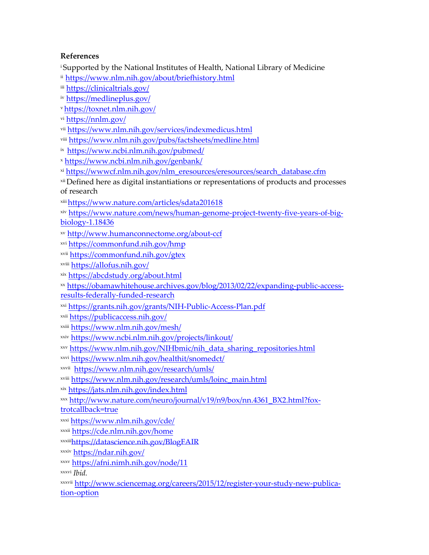## <span id="page-9-0"></span>**References**

<sup>i</sup>Supported by the National Institutes of Health, National Library of Medicine

ii <https://www.nlm.nih.gov/about/briefhistory.html>

iii <https://clinicaltrials.gov/>

iv https://medlineplus.gov/

vhttps://toxnet.nlm.nih.gov/

vi https://nnlm.gov/

vii <https://www.nlm.nih.gov/services/indexmedicus.html>

viii https://www.nlm.nih.gov/pubs/factsheets/medline.html

ix https://www.ncbi.nlm.nih.gov/pubmed/

<sup>x</sup><https://www.ncbi.nlm.nih.gov/genbank/>

xi [https://wwwcf.nlm.nih.gov/nlm\\_eresources/eresources/search\\_database.cfm](https://wwwcf.nlm.nih.gov/nlm_eresources/eresources/search_database.cfm) 

xii Defined here as digital instantiations or representations of products and processes of research

xiii <https://www.nature.com/articles/sdata201618>

 [biology-1.18436](https://www.nature.com/news/human-genome-project-twenty-five-years-of-big-biology-1.18436)xiv [https://www.nature.com/news/human-genome-project-twenty-five-years-of-big-](https://www.nature.com/news/human-genome-project-twenty-five-years-of-big-biology-1.18436)

xv <http://www.humanconnectome.org/about-ccf>

xvi <https://commonfund.nih.gov/hmp>

xvii <https://commonfund.nih.gov/gtex>

xviii <https://allofus.nih.gov/>

xix <https://abcdstudy.org/about.html>

 [results-federally-funded-research](https://obamawhitehouse.archives.gov/blog/2013/02/22/expanding-public-access-results-federally-funded-research)  xx [https://obamawhitehouse.archives.gov/blog/2013/02/22/expanding-public-access-](https://obamawhitehouse.archives.gov/blog/2013/02/22/expanding-public-access-results-federally-funded-research)

xxi <https://grants.nih.gov/grants/NIH-Public-Access-Plan.pdf>

xxii https://publicaccess.nih.gov/

xxiii <https://www.nlm.nih.gov/mesh/>

xxiv <https://www.ncbi.nlm.nih.gov/projects/linkout/>

xxv [https://www.nlm.nih.gov/NIHbmic/nih\\_data\\_sharing\\_repositories.html](https://www.nlm.nih.gov/NIHbmic/nih_data_sharing_repositories.html) 

xxvi <https://www.nlm.nih.gov/healthit/snomedct/>

xxvii <https://www.nlm.nih.gov/research/umls/>

xviii [https://www.nlm.nih.gov/research/umls/loinc\\_main.html](https://www.nlm.nih.gov/research/umls/loinc_main.html) 

xix <https://jats.nlm.nih.gov/index.html>

xxx [http://www.nature.com/neuro/journal/v19/n9/box/nn.4361\\_BX2.html?fox-](http://www.nature.com/neuro/journal/v19/n9/box/nn.4361_BX2.html?foxtrotcallback=true)

[trotcallback=true](http://www.nature.com/neuro/journal/v19/n9/box/nn.4361_BX2.html?foxtrotcallback=true) 

xxxi <https://www.nlm.nih.gov/cde/>

xxxii <https://cde.nlm.nih.gov/home>

xxxiii<https://datascience.nih.gov/BlogFAIR>

xxxiv <https://ndar.nih.gov/>

<sup>x</sup>xxv <https://afni.nimh.nih.gov/node/11>

xxxvi *Ibid.* 

 [tion-option](http://www.sciencemag.org/careers/2015/12/register-your-study-new-publication-option) xxxvii [http://www.sciencemag.org/careers/2015/12/register-your-study-new-publica-](http://www.sciencemag.org/careers/2015/12/register-your-study-new-publication-option)